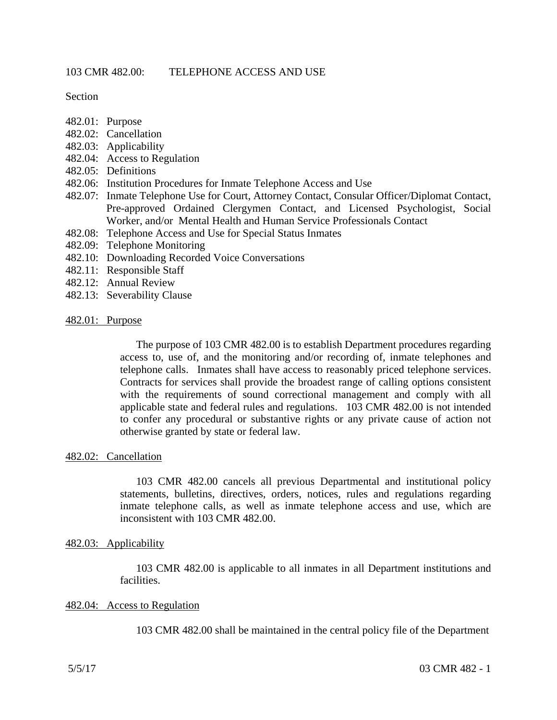Section

- 482.01: Purpose
- 482.02: Cancellation
- 482.03: Applicability
- 482.04: Access to Regulation
- 482.05: Definitions
- 482.06: Institution Procedures for Inmate Telephone Access and Use
- 482.07: Inmate Telephone Use for Court, Attorney Contact, Consular Officer/Diplomat Contact, Pre-approved Ordained Clergymen Contact, and Licensed Psychologist, Social Worker, and/or Mental Health and Human Service Professionals Contact
- 482.08: Telephone Access and Use for Special Status Inmates
- 482.09: Telephone Monitoring
- 482.10: Downloading Recorded Voice Conversations
- 482.11: Responsible Staff
- 482.12: Annual Review
- 482.13: Severability Clause

### 482.01: Purpose

The purpose of 103 CMR 482.00 is to establish Department procedures regarding access to, use of, and the monitoring and/or recording of, inmate telephones and telephone calls. Inmates shall have access to reasonably priced telephone services. Contracts for services shall provide the broadest range of calling options consistent with the requirements of sound correctional management and comply with all applicable state and federal rules and regulations. 103 CMR 482.00 is not intended to confer any procedural or substantive rights or any private cause of action not otherwise granted by state or federal law.

#### 482.02: Cancellation

103 CMR 482.00 cancels all previous Departmental and institutional policy statements, bulletins, directives, orders, notices, rules and regulations regarding inmate telephone calls, as well as inmate telephone access and use, which are inconsistent with 103 CMR 482.00.

### 482.03: Applicability

103 CMR 482.00 is applicable to all inmates in all Department institutions and facilities.

### 482.04: Access to Regulation

103 CMR 482.00 shall be maintained in the central policy file of the Department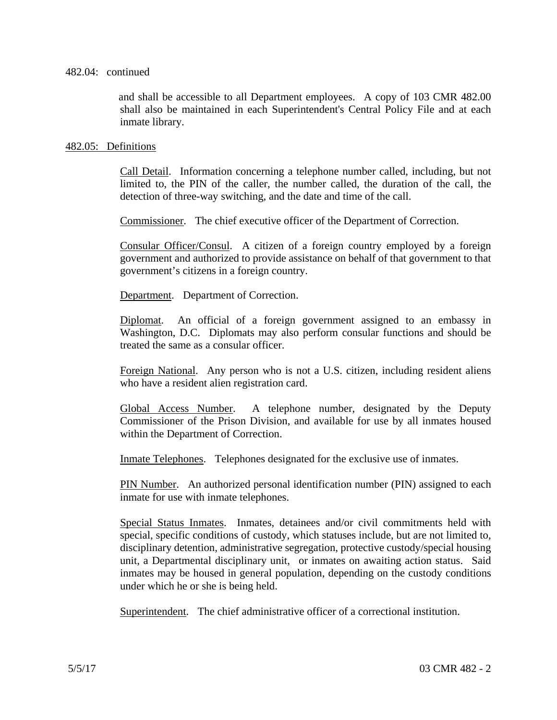### 482.04: continued

and shall be accessible to all Department employees. A copy of 103 CMR 482.00 shall also be maintained in each Superintendent's Central Policy File and at each inmate library.

## 482.05: Definitions

Call Detail. Information concerning a telephone number called, including, but not limited to, the PIN of the caller, the number called, the duration of the call, the detection of three-way switching, and the date and time of the call.

Commissioner. The chief executive officer of the Department of Correction.

Consular Officer/Consul. A citizen of a foreign country employed by a foreign government and authorized to provide assistance on behalf of that government to that government's citizens in a foreign country.

Department. Department of Correction.

Diplomat. An official of a foreign government assigned to an embassy in Washington, D.C. Diplomats may also perform consular functions and should be treated the same as a consular officer.

Foreign National. Any person who is not a U.S. citizen, including resident aliens who have a resident alien registration card.

Global Access Number. A telephone number, designated by the Deputy Commissioner of the Prison Division, and available for use by all inmates housed within the Department of Correction.

Inmate Telephones. Telephones designated for the exclusive use of inmates.

PIN Number. An authorized personal identification number (PIN) assigned to each inmate for use with inmate telephones.

Special Status Inmates. Inmates, detainees and/or civil commitments held with special, specific conditions of custody, which statuses include, but are not limited to, disciplinary detention, administrative segregation, protective custody/special housing unit, a Departmental disciplinary unit, or inmates on awaiting action status. Said inmates may be housed in general population, depending on the custody conditions under which he or she is being held.

Superintendent. The chief administrative officer of a correctional institution.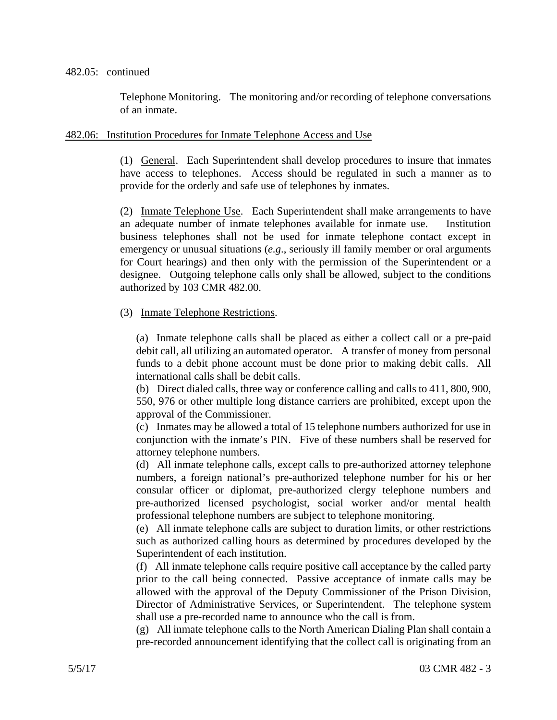### 482.05: continued

Telephone Monitoring. The monitoring and/or recording of telephone conversations of an inmate.

## 482.06: Institution Procedures for Inmate Telephone Access and Use

(1) General. Each Superintendent shall develop procedures to insure that inmates have access to telephones. Access should be regulated in such a manner as to provide for the orderly and safe use of telephones by inmates.

(2) Inmate Telephone Use. Each Superintendent shall make arrangements to have an adequate number of inmate telephones available for inmate use. Institution business telephones shall not be used for inmate telephone contact except in emergency or unusual situations (*e.g*., seriously ill family member or oral arguments for Court hearings) and then only with the permission of the Superintendent or a designee. Outgoing telephone calls only shall be allowed, subject to the conditions authorized by 103 CMR 482.00.

# (3) Inmate Telephone Restrictions.

(a) Inmate telephone calls shall be placed as either a collect call or a pre-paid debit call, all utilizing an automated operator. A transfer of money from personal funds to a debit phone account must be done prior to making debit calls. All international calls shall be debit calls.

(b) Direct dialed calls, three way or conference calling and calls to 411, 800, 900, 550, 976 or other multiple long distance carriers are prohibited, except upon the approval of the Commissioner.

(c) Inmates may be allowed a total of 15 telephone numbers authorized for use in conjunction with the inmate's PIN. Five of these numbers shall be reserved for attorney telephone numbers.

(d) All inmate telephone calls, except calls to pre-authorized attorney telephone numbers, a foreign national's pre-authorized telephone number for his or her consular officer or diplomat, pre-authorized clergy telephone numbers and pre-authorized licensed psychologist, social worker and/or mental health professional telephone numbers are subject to telephone monitoring.

(e) All inmate telephone calls are subject to duration limits, or other restrictions such as authorized calling hours as determined by procedures developed by the Superintendent of each institution.

(f) All inmate telephone calls require positive call acceptance by the called party prior to the call being connected. Passive acceptance of inmate calls may be allowed with the approval of the Deputy Commissioner of the Prison Division, Director of Administrative Services, or Superintendent. The telephone system shall use a pre-recorded name to announce who the call is from.

(g) All inmate telephone calls to the North American Dialing Plan shall contain a pre-recorded announcement identifying that the collect call is originating from an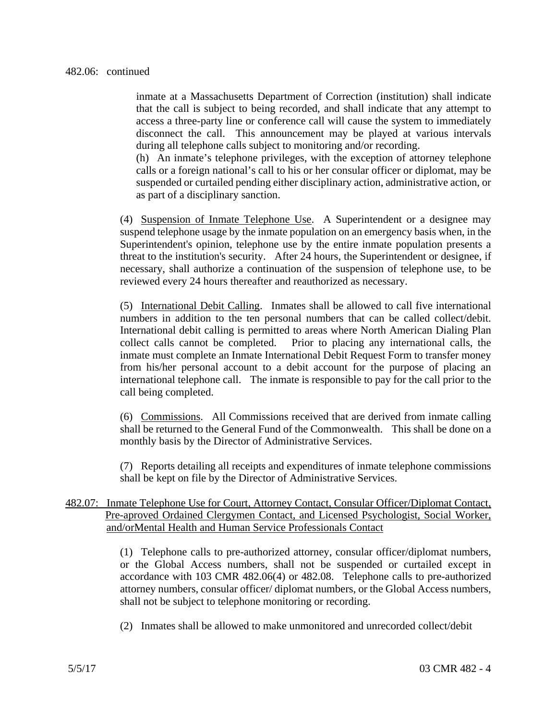inmate at a Massachusetts Department of Correction (institution) shall indicate that the call is subject to being recorded, and shall indicate that any attempt to access a three-party line or conference call will cause the system to immediately disconnect the call. This announcement may be played at various intervals during all telephone calls subject to monitoring and/or recording.

(h) An inmate's telephone privileges, with the exception of attorney telephone calls or a foreign national's call to his or her consular officer or diplomat, may be suspended or curtailed pending either disciplinary action, administrative action, or as part of a disciplinary sanction.

(4) Suspension of Inmate Telephone Use. A Superintendent or a designee may suspend telephone usage by the inmate population on an emergency basis when, in the Superintendent's opinion, telephone use by the entire inmate population presents a threat to the institution's security. After 24 hours, the Superintendent or designee, if necessary, shall authorize a continuation of the suspension of telephone use, to be reviewed every 24 hours thereafter and reauthorized as necessary.

(5) International Debit Calling. Inmates shall be allowed to call five international numbers in addition to the ten personal numbers that can be called collect/debit. International debit calling is permitted to areas where North American Dialing Plan collect calls cannot be completed. Prior to placing any international calls, the inmate must complete an Inmate International Debit Request Form to transfer money from his/her personal account to a debit account for the purpose of placing an international telephone call. The inmate is responsible to pay for the call prior to the call being completed.

(6) Commissions. All Commissions received that are derived from inmate calling shall be returned to the General Fund of the Commonwealth. This shall be done on a monthly basis by the Director of Administrative Services.

(7) Reports detailing all receipts and expenditures of inmate telephone commissions shall be kept on file by the Director of Administrative Services.

# 482.07: Inmate Telephone Use for Court, Attorney Contact, Consular Officer/Diplomat Contact, Pre-aproved Ordained Clergymen Contact, and Licensed Psychologist, Social Worker, and/orMental Health and Human Service Professionals Contact

(1) Telephone calls to pre-authorized attorney, consular officer/diplomat numbers, or the Global Access numbers, shall not be suspended or curtailed except in accordance with 103 CMR 482.06(4) or 482.08. Telephone calls to pre-authorized attorney numbers, consular officer/ diplomat numbers, or the Global Access numbers, shall not be subject to telephone monitoring or recording.

(2) Inmates shall be allowed to make unmonitored and unrecorded collect/debit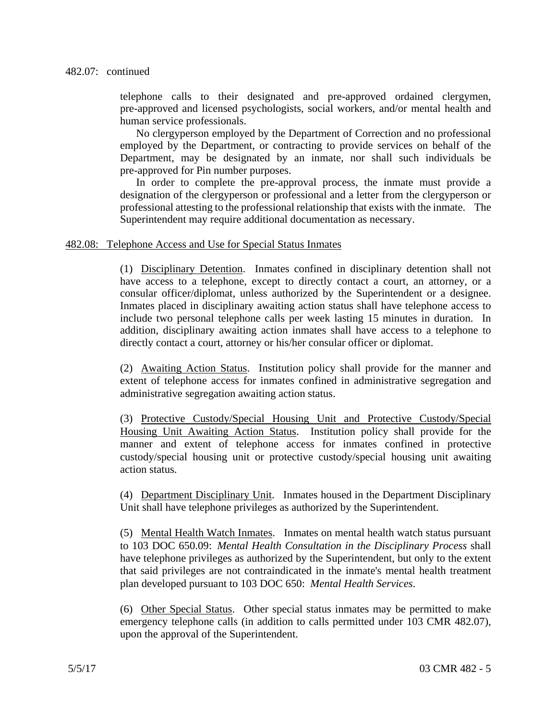telephone calls to their designated and pre-approved ordained clergymen, pre-approved and licensed psychologists, social workers, and/or mental health and human service professionals.

No clergyperson employed by the Department of Correction and no professional employed by the Department, or contracting to provide services on behalf of the Department, may be designated by an inmate, nor shall such individuals be pre-approved for Pin number purposes.

In order to complete the pre-approval process, the inmate must provide a designation of the clergyperson or professional and a letter from the clergyperson or professional attesting to the professional relationship that exists with the inmate. The Superintendent may require additional documentation as necessary.

## 482.08: Telephone Access and Use for Special Status Inmates

(1) Disciplinary Detention. Inmates confined in disciplinary detention shall not have access to a telephone, except to directly contact a court, an attorney, or a consular officer/diplomat, unless authorized by the Superintendent or a designee. Inmates placed in disciplinary awaiting action status shall have telephone access to include two personal telephone calls per week lasting 15 minutes in duration. In addition, disciplinary awaiting action inmates shall have access to a telephone to directly contact a court, attorney or his/her consular officer or diplomat.

(2) Awaiting Action Status. Institution policy shall provide for the manner and extent of telephone access for inmates confined in administrative segregation and administrative segregation awaiting action status.

(3) Protective Custody/Special Housing Unit and Protective Custody/Special Housing Unit Awaiting Action Status. Institution policy shall provide for the manner and extent of telephone access for inmates confined in protective custody/special housing unit or protective custody/special housing unit awaiting action status.

(4) Department Disciplinary Unit. Inmates housed in the Department Disciplinary Unit shall have telephone privileges as authorized by the Superintendent.

(5) Mental Health Watch Inmates. Inmates on mental health watch status pursuant to 103 DOC 650.09: *Mental Health Consultation in the Disciplinary Process* shall have telephone privileges as authorized by the Superintendent, but only to the extent that said privileges are not contraindicated in the inmate's mental health treatment plan developed pursuant to 103 DOC 650: *Mental Health Services*.

(6) Other Special Status. Other special status inmates may be permitted to make emergency telephone calls (in addition to calls permitted under 103 CMR 482.07), upon the approval of the Superintendent.